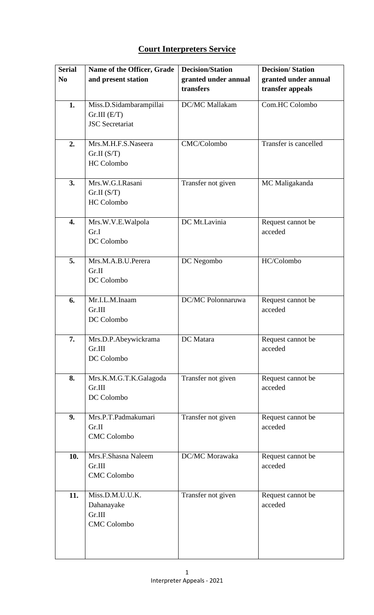## **Court Interpreters Service**

| <b>Serial</b>  | Name of the Officer, Grade          | <b>Decision/Station</b> | <b>Decision/Station</b> |
|----------------|-------------------------------------|-------------------------|-------------------------|
| N <sub>0</sub> | and present station                 | granted under annual    | granted under annual    |
|                |                                     | transfers               | transfer appeals        |
| 1.             | Miss.D.Sidambarampillai             | DC/MC Mallakam          | Com.HC Colombo          |
|                | $Gr.III$ $(E/T)$                    |                         |                         |
|                | <b>JSC</b> Secretariat              |                         |                         |
|                |                                     |                         |                         |
| 2.             | Mrs.M.H.F.S.Naseera                 | CMC/Colombo             | Transfer is cancelled   |
|                | Gr.II(S/T)                          |                         |                         |
|                | <b>HC</b> Colombo                   |                         |                         |
|                |                                     |                         |                         |
| 3.             | Mrs.W.G.I.Rasani                    | Transfer not given      | MC Maligakanda          |
|                | Gr.II(S/T)                          |                         |                         |
|                | <b>HC</b> Colombo                   |                         |                         |
|                |                                     |                         |                         |
| 4.             | Mrs.W.V.E.Walpola                   | DC Mt.Lavinia           | Request cannot be       |
|                | Gr.I                                |                         | acceded                 |
|                | DC Colombo                          |                         |                         |
|                |                                     |                         |                         |
| 5.             | Mrs.M.A.B.U.Perera                  | DC Negombo              | HC/Colombo              |
|                | Gr.II                               |                         |                         |
|                | DC Colombo                          |                         |                         |
|                |                                     |                         |                         |
| 6.             | Mr.I.L.M.Inaam                      | DC/MC Polonnaruwa       | Request cannot be       |
|                | Gr.III                              |                         | acceded                 |
|                | DC Colombo                          |                         |                         |
|                |                                     |                         |                         |
| 7.             | Mrs.D.P.Abeywickrama                | DC Matara               | Request cannot be       |
|                | Gr.III                              |                         | acceded                 |
|                | DC Colombo                          |                         |                         |
|                |                                     |                         |                         |
| 8.             | Mrs.K.M.G.T.K.Galagoda              | Transfer not given      | Request cannot be       |
|                | Gr.III                              |                         | acceded                 |
|                | DC Colombo                          |                         |                         |
|                |                                     |                         |                         |
| 9.             | Mrs.P.T.Padmakumari                 | Transfer not given      | Request cannot be       |
|                | Gr.II                               |                         | acceded                 |
|                | <b>CMC</b> Colombo                  |                         |                         |
| 10.            | Mrs.F.Shasna Naleem                 | DC/MC Morawaka          | Request cannot be       |
|                | Gr.III                              |                         | acceded                 |
|                | <b>CMC</b> Colombo                  |                         |                         |
|                |                                     |                         |                         |
| 11.            | $\overline{\text{Miss.D.M.U.U.K.}}$ | Transfer not given      | Request cannot be       |
|                | Dahanayake                          |                         | acceded                 |
|                | Gr.III                              |                         |                         |
|                | <b>CMC</b> Colombo                  |                         |                         |
|                |                                     |                         |                         |
|                |                                     |                         |                         |
|                |                                     |                         |                         |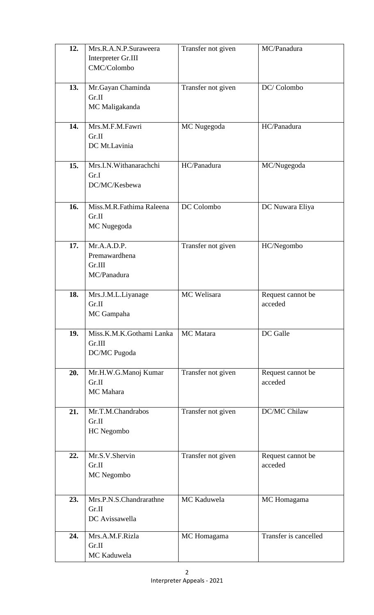| 12. | Mrs.R.A.N.P.Suraweera            | Transfer not given | MC/Panadura                  |
|-----|----------------------------------|--------------------|------------------------------|
|     | Interpreter Gr.III               |                    |                              |
|     | CMC/Colombo                      |                    |                              |
|     |                                  |                    |                              |
| 13. | Mr.Gayan Chaminda                | Transfer not given | DC/Colombo                   |
|     | Gr.II                            |                    |                              |
|     | MC Maligakanda                   |                    |                              |
|     |                                  |                    |                              |
| 14. | Mrs.M.F.M.Fawri                  | MC Nugegoda        | HC/Panadura                  |
|     | Gr.II                            |                    |                              |
|     | DC Mt.Lavinia                    |                    |                              |
|     |                                  |                    |                              |
| 15. | Mrs.I.N.Withanarachchi           | HC/Panadura        | MC/Nugegoda                  |
|     | Gr.I                             |                    |                              |
|     | DC/MC/Kesbewa                    |                    |                              |
|     |                                  |                    |                              |
| 16. | Miss.M.R.Fathima Raleena         | DC Colombo         | DC Nuwara Eliya              |
|     | Gr.II                            |                    |                              |
|     | MC Nugegoda                      |                    |                              |
|     |                                  |                    |                              |
| 17. | Mr.A.A.D.P.                      | Transfer not given | HC/Negombo                   |
|     | Premawardhena                    |                    |                              |
|     | Gr.III                           |                    |                              |
|     | MC/Panadura                      |                    |                              |
|     |                                  | MC Welisara        |                              |
| 18. | Mrs.J.M.L.Liyanage<br>Gr.II      |                    | Request cannot be<br>acceded |
|     |                                  |                    |                              |
|     | MC Gampaha                       |                    |                              |
| 19. | Miss.K.M.K.Gothami Lanka         | MC Matara          | DC Galle                     |
|     | Gr.III                           |                    |                              |
|     | DC/MC Pugoda                     |                    |                              |
|     |                                  |                    |                              |
| 20. | Mr.H.W.G.Manoj Kumar             | Transfer not given | Request cannot be            |
|     | Gr.II                            |                    | acceded                      |
|     | <b>MC</b> Mahara                 |                    |                              |
|     |                                  |                    |                              |
| 21. | Mr.T.M.Chandrabos                | Transfer not given | DC/MC Chilaw                 |
|     | Gr.II                            |                    |                              |
|     | HC Negombo                       |                    |                              |
|     |                                  |                    |                              |
| 22. | Mr.S.V.Shervin                   | Transfer not given | Request cannot be            |
|     | Gr.II                            |                    | acceded                      |
|     | MC Negombo                       |                    |                              |
|     |                                  |                    |                              |
|     |                                  |                    |                              |
| 23. | Mrs.P.N.S.Chandrarathne<br>Gr.II | MC Kaduwela        | MC Homagama                  |
|     | DC Avissawella                   |                    |                              |
|     |                                  |                    |                              |
| 24. | Mrs.A.M.F.Rizla                  | MC Homagama        | Transfer is cancelled        |
|     | Gr.II                            |                    |                              |
|     | MC Kaduwela                      |                    |                              |
|     |                                  |                    |                              |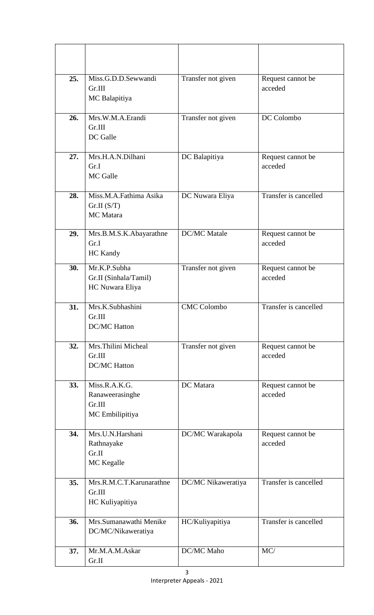| 25. | Miss.G.D.D.Sewwandi<br>Gr.III<br>MC Balapitiya                | Transfer not given  | Request cannot be<br>acceded |
|-----|---------------------------------------------------------------|---------------------|------------------------------|
| 26. | Mrs.W.M.A.Erandi<br>Gr.III<br>DC Galle                        | Transfer not given  | DC Colombo                   |
| 27. | Mrs.H.A.N.Dilhani<br>Gr.I<br><b>MC</b> Galle                  | DC Balapitiya       | Request cannot be<br>acceded |
| 28. | Miss.M.A.Fathima Asika<br>Gr.II(S/T)<br><b>MC</b> Matara      | DC Nuwara Eliya     | Transfer is cancelled        |
| 29. | Mrs.B.M.S.K.Abayarathne<br>Gr.I<br><b>HC</b> Kandy            | <b>DC/MC</b> Matale | Request cannot be<br>acceded |
| 30. | Mr.K.P.Subha<br>Gr.II (Sinhala/Tamil)<br>HC Nuwara Eliya      | Transfer not given  | Request cannot be<br>acceded |
| 31. | Mrs.K.Subhashini<br>Gr.III<br><b>DC/MC Hatton</b>             | <b>CMC Colombo</b>  | Transfer is cancelled        |
| 32. | Mrs. Thilini Micheal<br>Gr.III<br><b>DC/MC Hatton</b>         | Transfer not given  | Request cannot be<br>acceded |
| 33. | Miss.R.A.K.G.<br>Ranaweerasinghe<br>Gr.III<br>MC Embilipitiya | DC Matara           | Request cannot be<br>acceded |
| 34. | Mrs.U.N.Harshani<br>Rathnayake<br>Gr.II<br>MC Kegalle         | DC/MC Warakapola    | Request cannot be<br>acceded |
| 35. | Mrs.R.M.C.T.Karunarathne<br>Gr.III<br>HC Kuliyapitiya         | DC/MC Nikaweratiya  | Transfer is cancelled        |
| 36. | Mrs.Sumanawathi Menike<br>DC/MC/Nikaweratiya                  | HC/Kuliyapitiya     | Transfer is cancelled        |
| 37. | Mr.M.A.M.Askar<br>Gr.II                                       | DC/MC Maho          | MC/                          |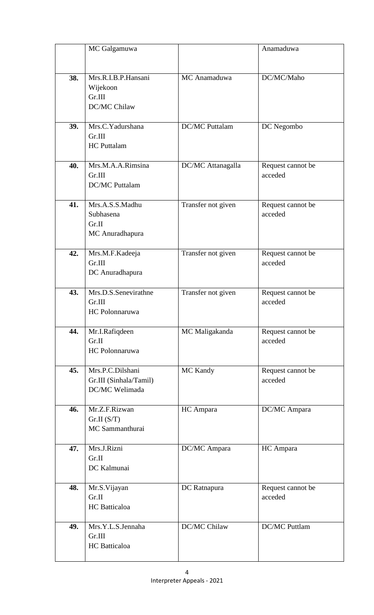|     | MC Galgamuwa                                                 |                       | Anamaduwa                    |
|-----|--------------------------------------------------------------|-----------------------|------------------------------|
|     |                                                              |                       |                              |
| 38. | Mrs.R.I.B.P.Hansani<br>Wijekoon<br>Gr.III<br>DC/MC Chilaw    | MC Anamaduwa          | DC/MC/Maho                   |
| 39. | Mrs.C.Yadurshana<br>Gr.III<br><b>HC</b> Puttalam             | <b>DC/MC</b> Puttalam | DC Negombo                   |
| 40. | Mrs.M.A.A.Rimsina<br>Gr.III<br><b>DC/MC Puttalam</b>         | DC/MC Attanagalla     | Request cannot be<br>acceded |
| 41. | Mrs.A.S.S.Madhu<br>Subhasena<br>Gr.II<br>MC Anuradhapura     | Transfer not given    | Request cannot be<br>acceded |
| 42. | Mrs.M.F.Kadeeja<br>Gr.III<br>DC Anuradhapura                 | Transfer not given    | Request cannot be<br>acceded |
| 43. | Mrs.D.S.Senevirathne<br>Gr.III<br><b>HC</b> Polonnaruwa      | Transfer not given    | Request cannot be<br>acceded |
| 44. | Mr.I.Rafiqdeen<br>Gr.II<br>HC Polonnaruwa                    | MC Maligakanda        | Request cannot be<br>acceded |
| 45. | Mrs.P.C.Dilshani<br>Gr.III (Sinhala/Tamil)<br>DC/MC Welimada | MC Kandy              | Request cannot be<br>acceded |
| 46. | Mr.Z.F.Rizwan<br>Gr.II(S/T)<br>MC Sammanthurai               | HC Ampara             | DC/MC Ampara                 |
| 47. | Mrs.J.Rizni<br>Gr.II<br>DC Kalmunai                          | DC/MC Ampara          | HC Ampara                    |
| 48. | Mr.S.Vijayan<br>Gr.II<br><b>HC</b> Batticaloa                | DC Ratnapura          | Request cannot be<br>acceded |
| 49. | Mrs.Y.L.S.Jennaha<br>Gr.III<br><b>HC</b> Batticaloa          | DC/MC Chilaw          | <b>DC/MC Puttlam</b>         |